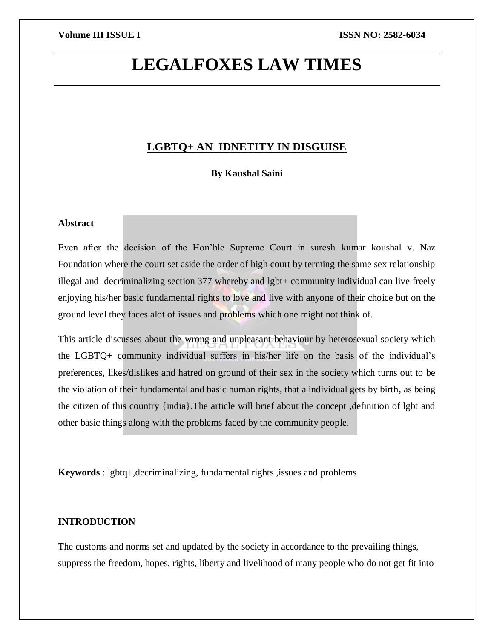# **LEGALFOXES LAW TIMES**

### **LGBTQ+ AN IDNETITY IN DISGUISE**

**By Kaushal Saini** 

### **Abstract**

Even after the decision of the Hon'ble Supreme Court in suresh kumar koushal v. Naz Foundation where the court set aside the order of high court by terming the same sex relationship illegal and decriminalizing section 377 whereby and lgbt+ community individual can live freely enjoying his/her basic fundamental rights to love and live with anyone of their choice but on the ground level they faces alot of issues and problems which one might not think of.

This article discusses about the wrong and unpleasant behaviour by heterosexual society which the LGBTQ+ community individual suffers in his/her life on the basis of the individual's preferences, likes/dislikes and hatred on ground of their sex in the society which turns out to be the violation of their fundamental and basic human rights, that a individual gets by birth, as being the citizen of this country {india}.The article will brief about the concept ,definition of lgbt and other basic things along with the problems faced by the community people.

**Keywords** : lgbtq+,decriminalizing, fundamental rights ,issues and problems

### **INTRODUCTION**

The customs and norms set and updated by the society in accordance to the prevailing things, suppress the freedom, hopes, rights, liberty and livelihood of many people who do not get fit into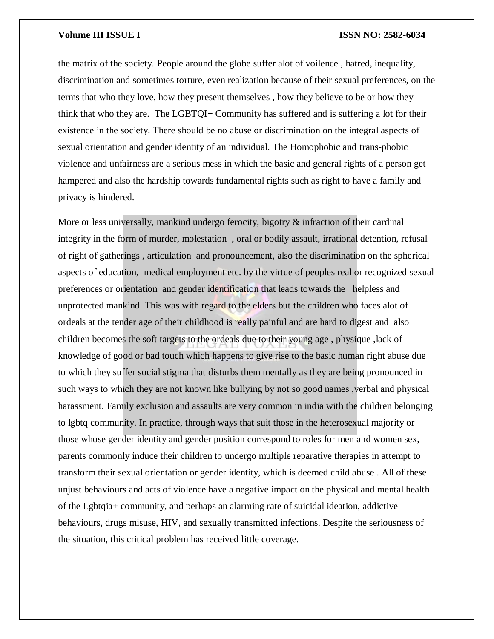the matrix of the society. People around the globe suffer alot of voilence , hatred, inequality, discrimination and sometimes torture, even realization because of their sexual preferences, on the terms that who they love, how they present themselves , how they believe to be or how they think that who they are. The LGBTQI+ Community has suffered and is suffering a lot for their existence in the society. There should be no abuse or discrimination on the integral aspects of sexual orientation and gender identity of an individual. The Homophobic and trans-phobic violence and unfairness are a serious mess in which the basic and general rights of a person get hampered and also the hardship towards fundamental rights such as right to have a family and privacy is hindered.

More or less universally, mankind undergo ferocity, bigotry  $\&$  infraction of their cardinal integrity in the form of murder, molestation , oral or bodily assault, irrational detention, refusal of right of gatherings , articulation and pronouncement, also the discrimination on the spherical aspects of education, medical employment etc. by the virtue of peoples real or recognized sexual preferences or orientation and gender identification that leads towards the helpless and unprotected mankind. This was with regard to the elders but the children who faces alot of ordeals at the tender age of their childhood is really painful and are hard to digest and also children becomes the soft targets to the ordeals due to their young age , physique ,lack of knowledge of good or bad touch which happens to give rise to the basic human right abuse due to which they suffer social stigma that disturbs them mentally as they are being pronounced in such ways to which they are not known like bullying by not so good names, verbal and physical harassment. Family exclusion and assaults are very common in india with the children belonging to lgbtq community. In practice, through ways that suit those in the heterosexual majority or those whose gender identity and gender position correspond to roles for men and women sex, parents commonly induce their children to undergo multiple reparative therapies in attempt to transform their sexual orientation or gender identity, which is deemed child abuse . All of these unjust behaviours and acts of violence have a negative impact on the physical and mental health of the Lgbtqia+ community, and perhaps an alarming rate of suicidal ideation, addictive behaviours, drugs misuse, HIV, and sexually transmitted infections. Despite the seriousness of the situation, this critical problem has received little coverage.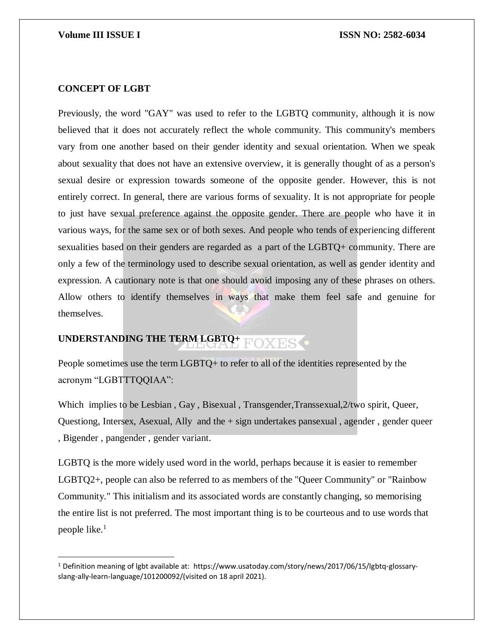### **CONCEPT OF LGBT**

 $\overline{\phantom{a}}$ 

Previously, the word "GAY" was used to refer to the LGBTO community, although it is now believed that it does not accurately reflect the whole community. This community's members vary from one another based on their gender identity and sexual orientation. When we speak about sexuality that does not have an extensive overview, it is generally thought of as a person's sexual desire or expression towards someone of the opposite gender. However, this is not entirely correct. In general, there are various forms of sexuality. It is not appropriate for people to just have sexual preference against the opposite gender. There are people who have it in various ways, for the same sex or of both sexes. And people who tends of experiencing different sexualities based on their genders are regarded as a part of the LGBTQ+ community. There are only a few of the terminology used to describe sexual orientation, as well as gender identity and expression. A cautionary note is that one should avoid imposing any of these phrases on others. Allow others to identify themselves in ways that make them feel safe and genuine for themselves.

### **UNDERSTANDING THE TERM LGBTQ+ FOXES**

People sometimes use the term LGBTQ+ to refer to all of the identities represented by the acronym "LGBTTTQQIAA":

Which implies to be Lesbian, Gay, Bisexual, Transgender, Transsexual, 2/two spirit, Queer, Questiong, Intersex, Asexual, Ally and the + sign undertakes pansexual , agender , gender queer , Bigender , pangender , gender variant.

LGBTQ is the more widely used word in the world, perhaps because it is easier to remember LGBTQ2+, people can also be referred to as members of the "Queer Community" or "Rainbow Community." This initialism and its associated words are constantly changing, so memorising the entire list is not preferred. The most important thing is to be courteous and to use words that people like.<sup>1</sup>

<sup>1</sup> Definition meaning of lgbt available at: https://www.usatoday.com/story/news/2017/06/15/lgbtq-glossaryslang-ally-learn-language/101200092/(visited on 18 april 2021).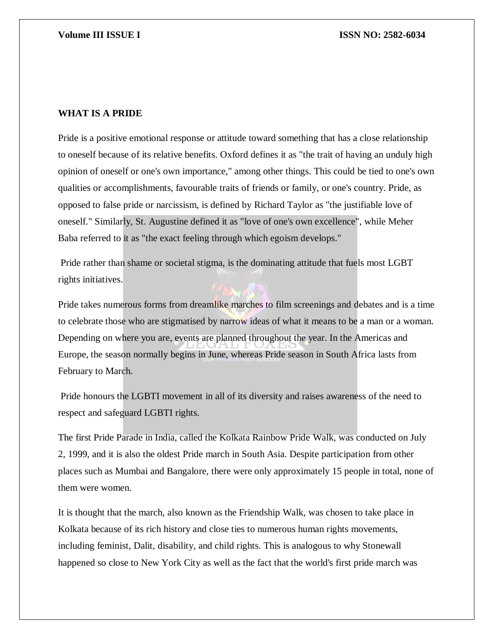### **WHAT IS A PRIDE**

Pride is a positive emotional response or attitude toward something that has a close relationship to oneself because of its relative benefits. Oxford defines it as "the trait of having an unduly high opinion of oneself or one's own importance," among other things. This could be tied to one's own qualities or accomplishments, favourable traits of friends or family, or one's country. Pride, as opposed to false pride or narcissism, is defined by Richard Taylor as "the justifiable love of oneself." Similarly, St. Augustine defined it as "love of one's own excellence", while Meher Baba referred to it as "the exact feeling through which egoism develops."

Pride rather than shame or societal stigma, is the dominating attitude that fuels most LGBT rights initiatives.

Pride takes numerous forms from dreamlike marches to film screenings and debates and is a time to celebrate those who are stigmatised by narrow ideas of what it means to be a man or a woman. Depending on where you are, events are planned throughout the year. In the Americas and Europe, the season normally begins in June, whereas Pride season in South Africa lasts from February to March.

Pride honours the LGBTI movement in all of its diversity and raises awareness of the need to respect and safeguard LGBTI rights.

The first Pride Parade in India, called the Kolkata Rainbow Pride Walk, was conducted on July 2, 1999, and it is also the oldest Pride march in South Asia. Despite participation from other places such as Mumbai and Bangalore, there were only approximately 15 people in total, none of them were women.

It is thought that the march, also known as the Friendship Walk, was chosen to take place in Kolkata because of its rich history and close ties to numerous human rights movements, including feminist, Dalit, disability, and child rights. This is analogous to why Stonewall happened so close to New York City as well as the fact that the world's first pride march was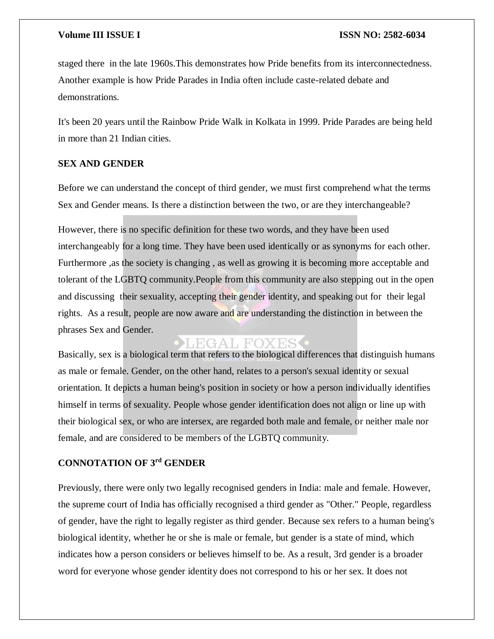staged there in the late 1960s.This demonstrates how Pride benefits from its interconnectedness. Another example is how Pride Parades in India often include caste-related debate and demonstrations.

It's been 20 years until the Rainbow Pride Walk in Kolkata in 1999. Pride Parades are being held in more than 21 Indian cities.

### **SEX AND GENDER**

Before we can understand the concept of third gender, we must first comprehend what the terms Sex and Gender means. Is there a distinction between the two, or are they interchangeable?

However, there is no specific definition for these two words, and they have been used interchangeably for a long time. They have been used identically or as synonyms for each other. Furthermore ,as the society is changing , as well as growing it is becoming more acceptable and tolerant of the LGBTQ community.People from this community are also stepping out in the open and discussing their sexuality, accepting their gender identity, and speaking out for their legal rights. As a result, people are now aware and are understanding the distinction in between the phrases Sex and Gender.

## LEGAL FOX

Basically, sex is a biological term that refers to the biological differences that distinguish humans as male or female. Gender, on the other hand, relates to a person's sexual identity or sexual orientation. It depicts a human being's position in society or how a person individually identifies himself in terms of sexuality. People whose gender identification does not align or line up with their biological sex, or who are intersex, are regarded both male and female, or neither male nor female, and are considered to be members of the LGBTQ community.

### **CONNOTATION OF 3rd GENDER**

Previously, there were only two legally recognised genders in India: male and female. However, the supreme court of India has officially recognised a third gender as "Other." People, regardless of gender, have the right to legally register as third gender. Because sex refers to a human being's biological identity, whether he or she is male or female, but gender is a state of mind, which indicates how a person considers or believes himself to be. As a result, 3rd gender is a broader word for everyone whose gender identity does not correspond to his or her sex. It does not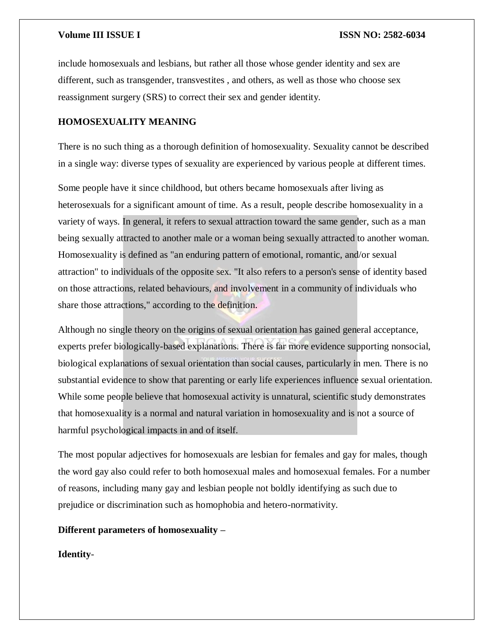include homosexuals and lesbians, but rather all those whose gender identity and sex are different, such as transgender, transvestites , and others, as well as those who choose sex reassignment surgery (SRS) to correct their sex and gender identity.

### **HOMOSEXUALITY MEANING**

There is no such thing as a thorough definition of homosexuality. Sexuality cannot be described in a single way: diverse types of sexuality are experienced by various people at different times.

Some people have it since childhood, but others became homosexuals after living as heterosexuals for a significant amount of time. As a result, people describe homosexuality in a variety of ways. In general, it refers to sexual attraction toward the same gender, such as a man being sexually attracted to another male or a woman being sexually attracted to another woman. Homosexuality is defined as "an enduring pattern of emotional, romantic, and/or sexual attraction" to individuals of the opposite sex. "It also refers to a person's sense of identity based on those attractions, related behaviours, and involvement in a community of individuals who share those attractions," according to the definition.

Although no single theory on the origins of sexual orientation has gained general acceptance, experts prefer biologically-based explanations. There is far more evidence supporting nonsocial, biological explanations of sexual orientation than social causes, particularly in men. There is no substantial evidence to show that parenting or early life experiences influence sexual orientation. While some people believe that homosexual activity is unnatural, scientific study demonstrates that homosexuality is a normal and natural variation in homosexuality and is not a source of harmful psychological impacts in and of itself.

The most popular adjectives for homosexuals are lesbian for females and gay for males, though the word gay also could refer to both homosexual males and homosexual females. For a number of reasons, including many gay and lesbian people not boldly identifying as such due to prejudice or discrimination such as homophobia and hetero-normativity.

### **Different parameters of homosexuality –**

**Identity**-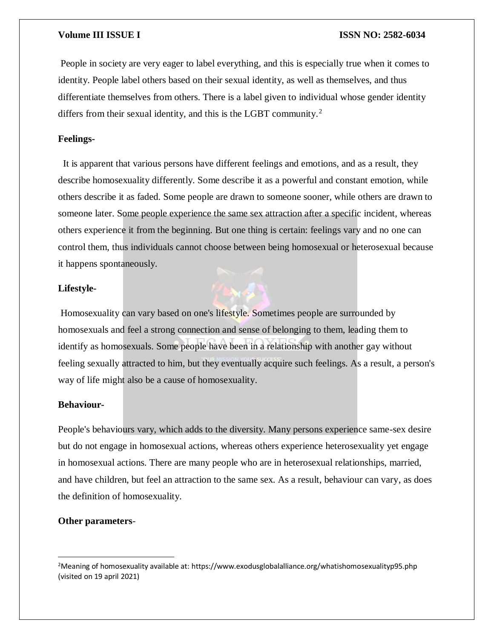People in society are very eager to label everything, and this is especially true when it comes to identity. People label others based on their sexual identity, as well as themselves, and thus differentiate themselves from others. There is a label given to individual whose gender identity differs from their sexual identity, and this is the LGBT community.<sup>2</sup>

### **Feelings-**

It is apparent that various persons have different feelings and emotions, and as a result, they describe homosexuality differently. Some describe it as a powerful and constant emotion, while others describe it as faded. Some people are drawn to someone sooner, while others are drawn to someone later. Some people experience the same sex attraction after a specific incident, whereas others experience it from the beginning. But one thing is certain: feelings vary and no one can control them, thus individuals cannot choose between being homosexual or heterosexual because it happens spontaneously.

### **Lifestyle-**

Homosexuality can vary based on one's lifestyle. Sometimes people are surrounded by homosexuals and feel a strong connection and sense of belonging to them, leading them to identify as homosexuals. Some people have been in a relationship with another gay without feeling sexually attracted to him, but they eventually acquire such feelings. As a result, a person's way of life might also be a cause of homosexuality.

### **Behaviour-**

People's behaviours vary, which adds to the diversity. Many persons experience same-sex desire but do not engage in homosexual actions, whereas others experience heterosexuality yet engage in homosexual actions. There are many people who are in heterosexual relationships, married, and have children, but feel an attraction to the same sex. As a result, behaviour can vary, as does the definition of homosexuality.

### **Other parameters**-

 $\overline{\phantom{a}}$ 

<sup>2</sup>Meaning of homosexuality available at: https://www.exodusglobalalliance.org/whatishomosexualityp95.php (visited on 19 april 2021)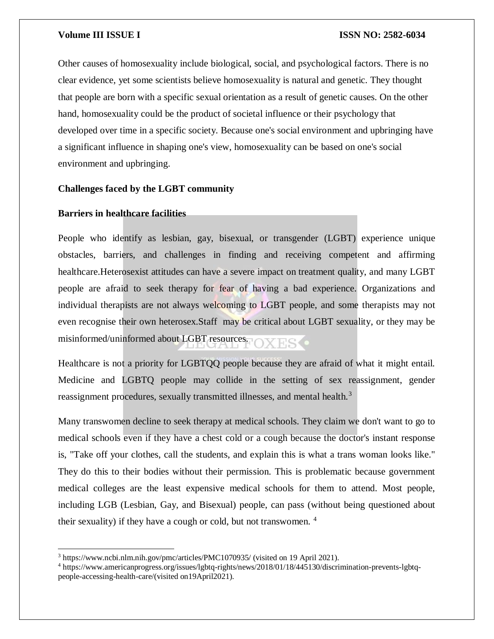Other causes of homosexuality include biological, social, and psychological factors. There is no clear evidence, yet some scientists believe homosexuality is natural and genetic. They thought that people are born with a specific sexual orientation as a result of genetic causes. On the other hand, homosexuality could be the product of societal influence or their psychology that developed over time in a specific society. Because one's social environment and upbringing have a significant influence in shaping one's view, homosexuality can be based on one's social environment and upbringing.

### **Challenges faced by the LGBT community**

### **Barriers in healthcare facilities**

 $\overline{a}$ 

People who identify as lesbian, gay, bisexual, or transgender (LGBT) experience unique obstacles, barriers, and challenges in finding and receiving competent and affirming healthcare.Heterosexist attitudes can have a severe impact on treatment quality, and many LGBT people are afraid to seek therapy for fear of having a bad experience. Organizations and individual therapists are not always welcoming to LGBT people, and some therapists may not even recognise their own heterosex.Staff may be critical about LGBT sexuality, or they may be misinformed/uninformed about LGBT resources.

Healthcare is not a priority for LGBTQQ people because they are afraid of what it might entail. Medicine and LGBTQ people may collide in the setting of sex reassignment, gender reassignment procedures, sexually transmitted illnesses, and mental health.<sup>3</sup>

Many transwomen decline to seek therapy at medical schools. They claim we don't want to go to medical schools even if they have a chest cold or a cough because the doctor's instant response is, "Take off your clothes, call the students, and explain this is what a trans woman looks like." They do this to their bodies without their permission. This is problematic because government medical colleges are the least expensive medical schools for them to attend. Most people, including LGB (Lesbian, Gay, and Bisexual) people, can pass (without being questioned about their sexuality) if they have a cough or cold, but not transwomen. <sup>4</sup>

<sup>3</sup> https://www.ncbi.nlm.nih.gov/pmc/articles/PMC1070935/ (visited on 19 April 2021).

<sup>4</sup> https://www.americanprogress.org/issues/lgbtq-rights/news/2018/01/18/445130/discrimination-prevents-lgbtqpeople-accessing-health-care/(visited on19April2021).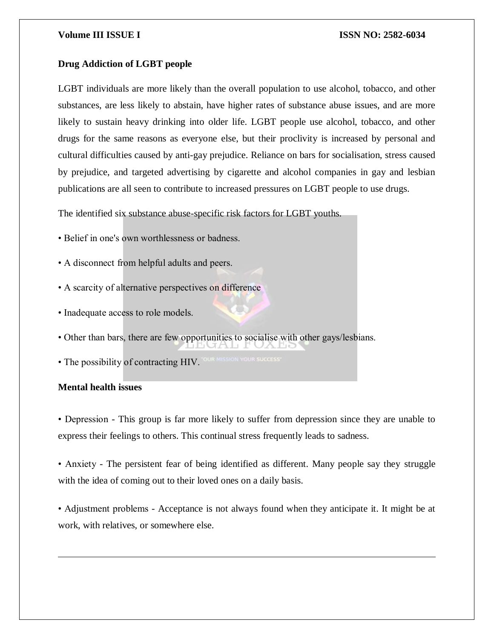### **Drug Addiction of LGBT people**

LGBT individuals are more likely than the overall population to use alcohol, tobacco, and other substances, are less likely to abstain, have higher rates of substance abuse issues, and are more likely to sustain heavy drinking into older life. LGBT people use alcohol, tobacco, and other drugs for the same reasons as everyone else, but their proclivity is increased by personal and cultural difficulties caused by anti-gay prejudice. Reliance on bars for socialisation, stress caused by prejudice, and targeted advertising by cigarette and alcohol companies in gay and lesbian publications are all seen to contribute to increased pressures on LGBT people to use drugs.

The identified six substance abuse-specific risk factors for LGBT youths.

• Belief in one's own worthlessness or badness.

• A disconnect from helpful adults and peers.

- A scarcity of alternative perspectives on difference
- Inadequate access to role models.
- Other than bars, there are few opportunities to socialise with other gays/lesbians.
- The possibility of contracting HIV.

### **Mental health issues**

 $\overline{\phantom{a}}$ 

• Depression - This group is far more likely to suffer from depression since they are unable to express their feelings to others. This continual stress frequently leads to sadness.

• Anxiety - The persistent fear of being identified as different. Many people say they struggle with the idea of coming out to their loved ones on a daily basis.

• Adjustment problems - Acceptance is not always found when they anticipate it. It might be at work, with relatives, or somewhere else.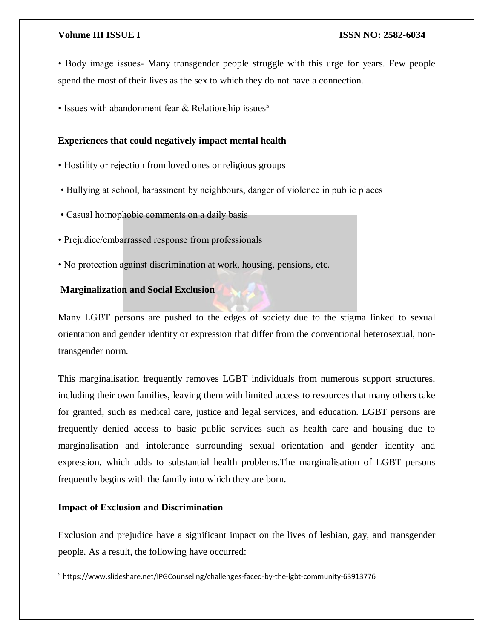• Body image issues- Many transgender people struggle with this urge for years. Few people spend the most of their lives as the sex to which they do not have a connection.

• Issues with abandonment fear  $&$  Relationship issues<sup>5</sup>

### **Experiences that could negatively impact mental health**

- Hostility or rejection from loved ones or religious groups
- Bullying at school, harassment by neighbours, danger of violence in public places
- Casual homophobic comments on a daily basis
- Prejudice/embarrassed response from professionals
- No protection against discrimination at work, housing, pensions, etc.

### **Marginalization and Social Exclusion**

Many LGBT persons are pushed to the edges of society due to the stigma linked to sexual orientation and gender identity or expression that differ from the conventional heterosexual, nontransgender norm.

This marginalisation frequently removes LGBT individuals from numerous support structures, including their own families, leaving them with limited access to resources that many others take for granted, such as medical care, justice and legal services, and education. LGBT persons are frequently denied access to basic public services such as health care and housing due to marginalisation and intolerance surrounding sexual orientation and gender identity and expression, which adds to substantial health problems.The marginalisation of LGBT persons frequently begins with the family into which they are born.

### **Impact of Exclusion and Discrimination**

 $\overline{a}$ 

Exclusion and prejudice have a significant impact on the lives of lesbian, gay, and transgender people. As a result, the following have occurred:

<sup>5</sup> https://www.slideshare.net/IPGCounseling/challenges-faced-by-the-lgbt-community-63913776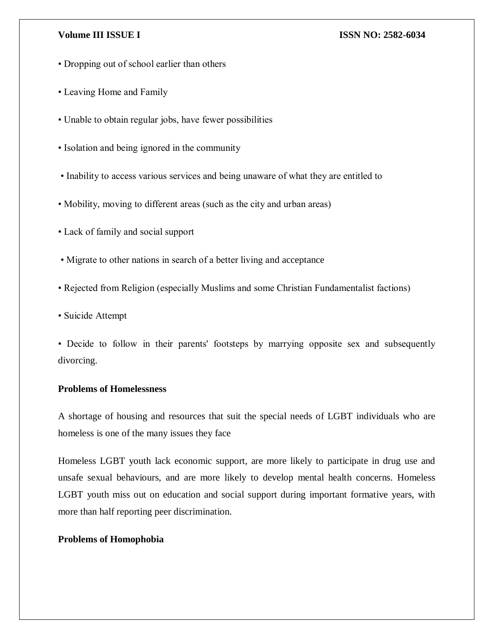- Dropping out of school earlier than others
- Leaving Home and Family
- Unable to obtain regular jobs, have fewer possibilities
- Isolation and being ignored in the community
- Inability to access various services and being unaware of what they are entitled to
- Mobility, moving to different areas (such as the city and urban areas)
- Lack of family and social support
- Migrate to other nations in search of a better living and acceptance
- Rejected from Religion (especially Muslims and some Christian Fundamentalist factions)
- Suicide Attempt
- Decide to follow in their parents' footsteps by marrying opposite sex and subsequently divorcing.

### **Problems of Homelessness**

A shortage of housing and resources that suit the special needs of LGBT individuals who are homeless is one of the many issues they face

Homeless LGBT youth lack economic support, are more likely to participate in drug use and unsafe sexual behaviours, and are more likely to develop mental health concerns. Homeless LGBT youth miss out on education and social support during important formative years, with more than half reporting peer discrimination.

### **Problems of Homophobia**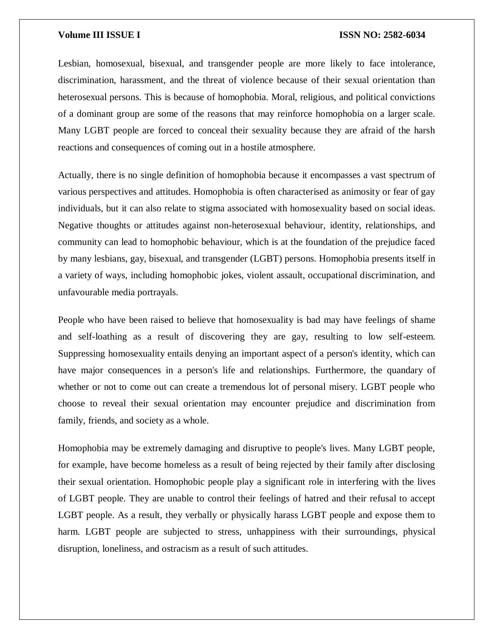Lesbian, homosexual, bisexual, and transgender people are more likely to face intolerance, discrimination, harassment, and the threat of violence because of their sexual orientation than heterosexual persons. This is because of homophobia. Moral, religious, and political convictions of a dominant group are some of the reasons that may reinforce homophobia on a larger scale. Many LGBT people are forced to conceal their sexuality because they are afraid of the harsh reactions and consequences of coming out in a hostile atmosphere.

Actually, there is no single definition of homophobia because it encompasses a vast spectrum of various perspectives and attitudes. Homophobia is often characterised as animosity or fear of gay individuals, but it can also relate to stigma associated with homosexuality based on social ideas. Negative thoughts or attitudes against non-heterosexual behaviour, identity, relationships, and community can lead to homophobic behaviour, which is at the foundation of the prejudice faced by many lesbians, gay, bisexual, and transgender (LGBT) persons. Homophobia presents itself in a variety of ways, including homophobic jokes, violent assault, occupational discrimination, and unfavourable media portrayals.

People who have been raised to believe that homosexuality is bad may have feelings of shame and self-loathing as a result of discovering they are gay, resulting to low self-esteem. Suppressing homosexuality entails denying an important aspect of a person's identity, which can have major consequences in a person's life and relationships. Furthermore, the quandary of whether or not to come out can create a tremendous lot of personal misery. LGBT people who choose to reveal their sexual orientation may encounter prejudice and discrimination from family, friends, and society as a whole.

Homophobia may be extremely damaging and disruptive to people's lives. Many LGBT people, for example, have become homeless as a result of being rejected by their family after disclosing their sexual orientation. Homophobic people play a significant role in interfering with the lives of LGBT people. They are unable to control their feelings of hatred and their refusal to accept LGBT people. As a result, they verbally or physically harass LGBT people and expose them to harm. LGBT people are subjected to stress, unhappiness with their surroundings, physical disruption, loneliness, and ostracism as a result of such attitudes.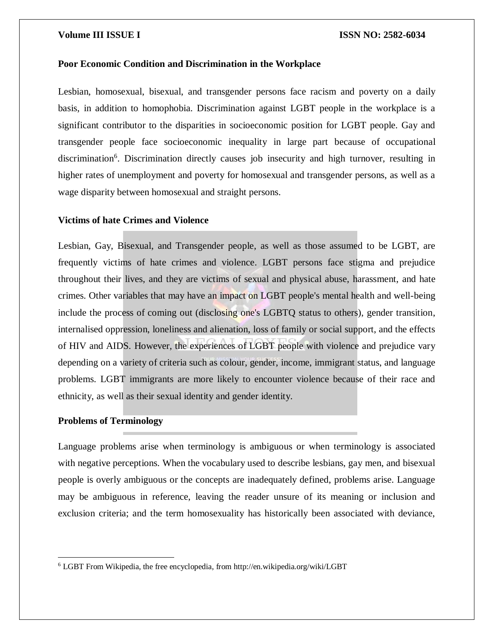### **Poor Economic Condition and Discrimination in the Workplace**

Lesbian, homosexual, bisexual, and transgender persons face racism and poverty on a daily basis, in addition to homophobia. Discrimination against LGBT people in the workplace is a significant contributor to the disparities in socioeconomic position for LGBT people. Gay and transgender people face socioeconomic inequality in large part because of occupational discrimination<sup>6</sup>. Discrimination directly causes job insecurity and high turnover, resulting in higher rates of unemployment and poverty for homosexual and transgender persons, as well as a wage disparity between homosexual and straight persons.

### **Victims of hate Crimes and Violence**

Lesbian, Gay, Bisexual, and Transgender people, as well as those assumed to be LGBT, are frequently victims of hate crimes and violence. LGBT persons face stigma and prejudice throughout their lives, and they are victims of sexual and physical abuse, harassment, and hate crimes. Other variables that may have an impact on LGBT people's mental health and well-being include the process of coming out (disclosing one's LGBTQ status to others), gender transition, internalised oppression, loneliness and alienation, loss of family or social support, and the effects of HIV and AIDS. However, the experiences of LGBT people with violence and prejudice vary depending on a variety of criteria such as colour, gender, income, immigrant status, and language problems. LGBT immigrants are more likely to encounter violence because of their race and ethnicity, as well as their sexual identity and gender identity.

### **Problems of Terminology**

 $\overline{\phantom{a}}$ 

Language problems arise when terminology is ambiguous or when terminology is associated with negative perceptions. When the vocabulary used to describe lesbians, gay men, and bisexual people is overly ambiguous or the concepts are inadequately defined, problems arise. Language may be ambiguous in reference, leaving the reader unsure of its meaning or inclusion and exclusion criteria; and the term homosexuality has historically been associated with deviance,

<sup>6</sup> LGBT From Wikipedia, the free encyclopedia, from http://en.wikipedia.org/wiki/LGBT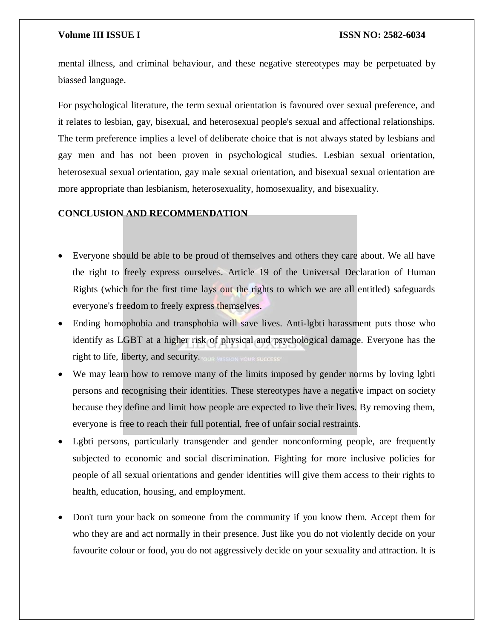mental illness, and criminal behaviour, and these negative stereotypes may be perpetuated by biassed language.

For psychological literature, the term sexual orientation is favoured over sexual preference, and it relates to lesbian, gay, bisexual, and heterosexual people's sexual and affectional relationships. The term preference implies a level of deliberate choice that is not always stated by lesbians and gay men and has not been proven in psychological studies. Lesbian sexual orientation, heterosexual sexual orientation, gay male sexual orientation, and bisexual sexual orientation are more appropriate than lesbianism, heterosexuality, homosexuality, and bisexuality.

### **CONCLUSION AND RECOMMENDATION**

- Everyone should be able to be proud of themselves and others they care about. We all have the right to freely express ourselves. Article 19 of the Universal Declaration of Human Rights (which for the first time lays out the rights to which we are all entitled) safeguards everyone's freedom to freely express themselves.
- Ending homophobia and transphobia will save lives. Anti-lgbti harassment puts those who identify as LGBT at a higher risk of physical and psychological damage. Everyone has the right to life, liberty, and security. TOUR MISSION YOUR SUCCESS'
- We may learn how to remove many of the limits imposed by gender norms by loving lgbti persons and recognising their identities. These stereotypes have a negative impact on society because they define and limit how people are expected to live their lives. By removing them, everyone is free to reach their full potential, free of unfair social restraints.
- Lgbti persons, particularly transgender and gender nonconforming people, are frequently subjected to economic and social discrimination. Fighting for more inclusive policies for people of all sexual orientations and gender identities will give them access to their rights to health, education, housing, and employment.
- Don't turn your back on someone from the community if you know them. Accept them for who they are and act normally in their presence. Just like you do not violently decide on your favourite colour or food, you do not aggressively decide on your sexuality and attraction. It is